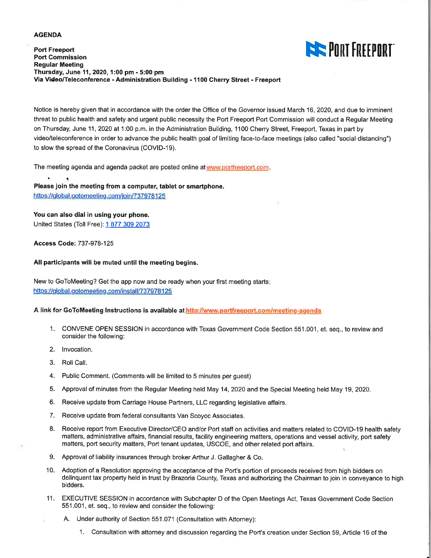#### **AGENDA**

#### **Port Freeport Port Commission Regular Meeting** Thursday, June 11, 2020, 1:00 pm - 5:00 pm Via Video/Teleconference - Administration Building - 1100 Cherry Street - Freeport



Notice is hereby given that in accordance with the order the Office of the Governor issued March 16, 2020, and due to imminent threat to public health and safety and urgent public necessity the Port Freeport Port Commission will conduct a Regular Meeting on Thursday, June 11, 2020 at 1:00 p.m. in the Administration Building, 1100 Cherry Street, Freeport, Texas in part by video/teleconference in order to advance the public health goal of limiting face-to-face meetings (also called "social distancing") to slow the spread of the Coronavirus (COVID-19).

The meeting agenda and agenda packet are posted online at www.portfreeport.com.

Please join the meeting from a computer, tablet or smartphone. https://global.gotomeeting.com/join/737978125

You can also dial in using your phone.

United States (Toll Free): 1 877 309 2073

**Access Code: 737-978-125** 

#### All participants will be muted until the meeting begins.

New to GoToMeeting? Get the app now and be ready when your first meeting starts: https://global.gotomeeting.com/install/737978125

#### A link for GoToMeeting Instructions is available at http://www.portfreeport.com/meeting-agenda

- 1. CONVENE OPEN SESSION in accordance with Texas Government Code Section 551.001, et. seq., to review and consider the following:
- 2. Invocation.
- 3. Roll Call.
- 4. Public Comment. (Comments will be limited to 5 minutes per quest)
- 5. Approval of minutes from the Regular Meeting held May 14, 2020 and the Special Meeting held May 19, 2020.
- 6. Receive update from Carriage House Partners, LLC regarding legislative affairs.
- 7. Receive update from federal consultants Van Scoyoc Associates.
- 8. Receive report from Executive Director/CEO and/or Port staff on activities and matters related to COVID-19 health safety matters, administrative affairs, financial results, facility engineering matters, operations and vessel activity, port safety matters, port security matters, Port tenant updates, USCOE, and other related port affairs.
- 9. Approval of liability insurances through broker Arthur J. Gallagher & Co.
- 10. Adoption of a Resolution approving the acceptance of the Port's portion of proceeds received from high bidders on delinquent tax property held in trust by Brazoria County, Texas and authorizing the Chairman to join in conveyance to high bidders.
- 11. EXECUTIVE SESSION in accordance with Subchapter D of the Open Meetings Act, Texas Government Code Section 551.001, et. seq., to review and consider the following:
	- A. Under authority of Section 551.071 (Consultation with Attorney):
		- 1. Consultation with attorney and discussion regarding the Port's creation under Section 59. Article 16 of the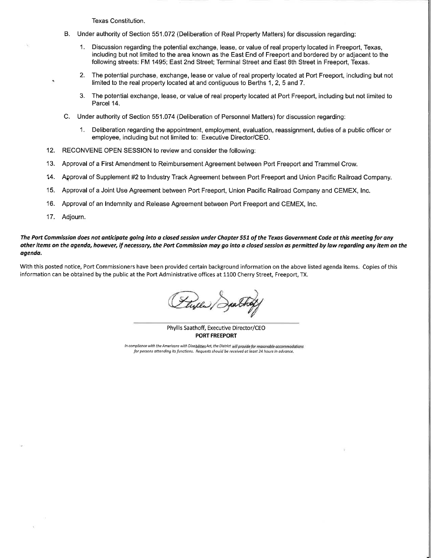Texas Constitution.

- B. Under authority of Section 551.072 (Deliberation of Real Property Matters) for discussion regarding:
	- $1.$ Discussion regarding the potential exchange, lease, or value of real property located in Freeport, Texas, including but not limited to the area known as the East End of Freeport and bordered by or adjacent to the following streets: FM 1495; East 2nd Street; Terminal Street and East 8th Street in Freeport, Texas.
	- $2.$ The potential purchase, exchange, lease or value of real property located at Port Freeport, including but not limited to the real property located at and contiguous to Berths 1, 2, 5 and 7.
	- The potential exchange, lease, or value of real property located at Port Freeport, including but not limited to  $\mathcal{R}$ Parcel 14
- C. Under authority of Section 551.074 (Deliberation of Personnel Matters) for discussion regarding:
	- 1. Deliberation regarding the appointment, employment, evaluation, reassignment, duties of a public officer or employee, including but not limited to: Executive Director/CEO.
- 12. RECONVENE OPEN SESSION to review and consider the following:
- $13.$ Approval of a First Amendment to Reimbursement Agreement between Port Freeport and Trammel Crow.
- $14.$ Approval of Supplement #2 to Industry Track Agreement between Port Freeport and Union Pacific Railroad Company.
- $15.$ Approval of a Joint Use Agreement between Port Freeport, Union Pacific Railroad Company and CEMEX, Inc.
- Approval of an Indemnity and Release Agreement between Port Freeport and CEMEX, Inc.  $16.$
- $17.$ Adjourn.

The Port Commission does not anticipate going into a closed session under Chapter 551 of the Texas Government Code at this meeting for any other items on the agenda, however, if necessary, the Port Commission may go into a closed session as permitted by law regarding any item on the agenda.

With this posted notice, Port Commissioners have been provided certain background information on the above listed agenda items. Copies of this information can be obtained by the public at the Port Administrative offices at 1100 Cherry Street, Freeport, TX.

Phyllis Saathoff, Executive Director/CEO **PORT FREEPORT** 

In compliance with the Americans with Disabilities Act, the District will provide for reasonable accommodations for persons attending its functions. Requests should be received at least 24 hours in advance.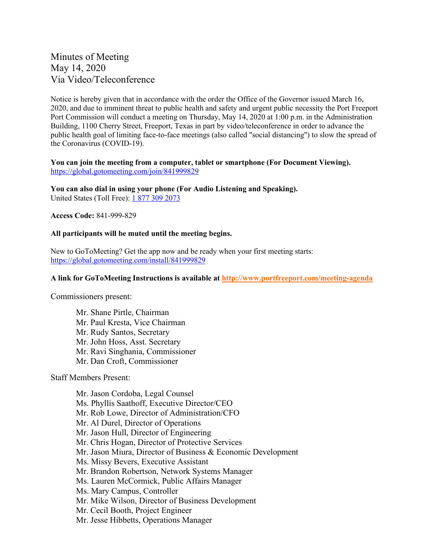# Minutes of Meeting May 14, 2020 Via Video/Teleconference

Notice is hereby given that in accordance with the order the Office of the Governor issued March 16, 2020, and due to imminent threat to public health and safety and urgent public necessity the Port Freeport Port Commission will conduct a meeting on Thursday, May 14, 2020 at 1:00 p.m. in the Administration Building, 1100 Cherry Street, Freeport, Texas in part by video/teleconference in order to advance the public health goal of limiting face-to-face meetings (also called "social distancing") to slow the spread of the Coronavirus (COVID-19).

### **You can join the meeting from a computer, tablet or smartphone (For Document Viewing).**  <https://global.gotomeeting.com/join/841999829>

**You can also dial in using your phone (For Audio Listening and Speaking).**  United States (Toll Free): [1 877 309 2073](tel:%2018773092073,,841999829)

**Access Code:** 841-999-829

### **All participants will be muted until the meeting begins.**

New to GoToMeeting? Get the app now and be ready when your first meeting starts: <https://global.gotomeeting.com/install/841999829>

#### **A link for GoToMeeting Instructions is available at<http://www.portfreeport.com/meeting-agenda>**

Commissioners present:

Mr. Shane Pirtle, Chairman Mr. Paul Kresta, Vice Chairman Mr. Rudy Santos, Secretary Mr. John Hoss, Asst. Secretary Mr. Ravi Singhania, Commissioner Mr. Dan Croft, Commissioner

Staff Members Present:

Mr. Jason Cordoba, Legal Counsel Ms. Phyllis Saathoff, Executive Director/CEO Mr. Rob Lowe, Director of Administration/CFO Mr. Al Durel, Director of Operations Mr. Jason Hull, Director of Engineering Mr. Chris Hogan, Director of Protective Services Mr. Jason Miura, Director of Business & Economic Development Ms. Missy Bevers, Executive Assistant Mr. Brandon Robertson, Network Systems Manager Ms. Lauren McCormick, Public Affairs Manager Ms. Mary Campus, Controller Mr. Mike Wilson, Director of Business Development Mr. Cecil Booth, Project Engineer Mr. Jesse Hibbetts, Operations Manager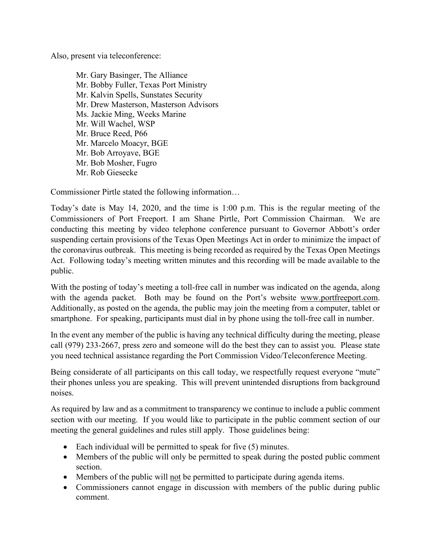Also, present via teleconference:

Mr. Gary Basinger, The Alliance Mr. Bobby Fuller, Texas Port Ministry Mr. Kalvin Spells, Sunstates Security Mr. Drew Masterson, Masterson Advisors Ms. Jackie Ming, Weeks Marine Mr. Will Wachel, WSP Mr. Bruce Reed, P66 Mr. Marcelo Moacyr, BGE Mr. Bob Arroyave, BGE Mr. Bob Mosher, Fugro Mr. Rob Giesecke

Commissioner Pirtle stated the following information…

Today's date is May 14, 2020, and the time is 1:00 p.m. This is the regular meeting of the Commissioners of Port Freeport. I am Shane Pirtle, Port Commission Chairman. We are conducting this meeting by video telephone conference pursuant to Governor Abbott's order suspending certain provisions of the Texas Open Meetings Act in order to minimize the impact of the coronavirus outbreak. This meeting is being recorded as required by the Texas Open Meetings Act. Following today's meeting written minutes and this recording will be made available to the public.

With the posting of today's meeting a toll-free call in number was indicated on the agenda, along with the agenda packet. Both may be found on the Port's website [www.portfreeport.com.](http://www.portfreeport.com/) Additionally, as posted on the agenda, the public may join the meeting from a computer, tablet or smartphone. For speaking, participants must dial in by phone using the toll-free call in number.

In the event any member of the public is having any technical difficulty during the meeting, please call (979) 233-2667, press zero and someone will do the best they can to assist you. Please state you need technical assistance regarding the Port Commission Video/Teleconference Meeting.

Being considerate of all participants on this call today, we respectfully request everyone "mute" their phones unless you are speaking. This will prevent unintended disruptions from background noises.

As required by law and as a commitment to transparency we continue to include a public comment section with our meeting. If you would like to participate in the public comment section of our meeting the general guidelines and rules still apply. Those guidelines being:

- Each individual will be permitted to speak for five (5) minutes.
- Members of the public will only be permitted to speak during the posted public comment section.
- Members of the public will not be permitted to participate during agenda items.
- Commissioners cannot engage in discussion with members of the public during public comment.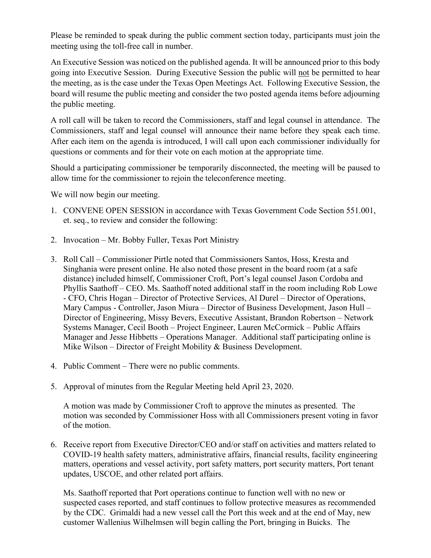Please be reminded to speak during the public comment section today, participants must join the meeting using the toll-free call in number.

An Executive Session was noticed on the published agenda. It will be announced prior to this body going into Executive Session. During Executive Session the public will not be permitted to hear the meeting, as is the case under the Texas Open Meetings Act. Following Executive Session, the board will resume the public meeting and consider the two posted agenda items before adjourning the public meeting.

A roll call will be taken to record the Commissioners, staff and legal counsel in attendance. The Commissioners, staff and legal counsel will announce their name before they speak each time. After each item on the agenda is introduced, I will call upon each commissioner individually for questions or comments and for their vote on each motion at the appropriate time.

Should a participating commissioner be temporarily disconnected, the meeting will be paused to allow time for the commissioner to rejoin the teleconference meeting.

We will now begin our meeting.

- 1. CONVENE OPEN SESSION in accordance with Texas Government Code Section 551.001, et. seq., to review and consider the following:
- 2. Invocation Mr. Bobby Fuller, Texas Port Ministry
- 3. Roll Call Commissioner Pirtle noted that Commissioners Santos, Hoss, Kresta and Singhania were present online. He also noted those present in the board room (at a safe distance) included himself, Commissioner Croft, Port's legal counsel Jason Cordoba and Phyllis Saathoff – CEO. Ms. Saathoff noted additional staff in the room including Rob Lowe - CFO, Chris Hogan – Director of Protective Services, Al Durel – Director of Operations, Mary Campus - Controller, Jason Miura – Director of Business Development, Jason Hull – Director of Engineering, Missy Bevers, Executive Assistant, Brandon Robertson – Network Systems Manager, Cecil Booth – Project Engineer, Lauren McCormick – Public Affairs Manager and Jesse Hibbetts – Operations Manager. Additional staff participating online is Mike Wilson – Director of Freight Mobility & Business Development.
- 4. Public Comment There were no public comments.
- 5. Approval of minutes from the Regular Meeting held April 23, 2020.

A motion was made by Commissioner Croft to approve the minutes as presented. The motion was seconded by Commissioner Hoss with all Commissioners present voting in favor of the motion.

6. Receive report from Executive Director/CEO and/or staff on activities and matters related to COVID-19 health safety matters, administrative affairs, financial results, facility engineering matters, operations and vessel activity, port safety matters, port security matters, Port tenant updates, USCOE, and other related port affairs.

Ms. Saathoff reported that Port operations continue to function well with no new or suspected cases reported, and staff continues to follow protective measures as recommended by the CDC. Grimaldi had a new vessel call the Port this week and at the end of May, new customer Wallenius Wilhelmsen will begin calling the Port, bringing in Buicks. The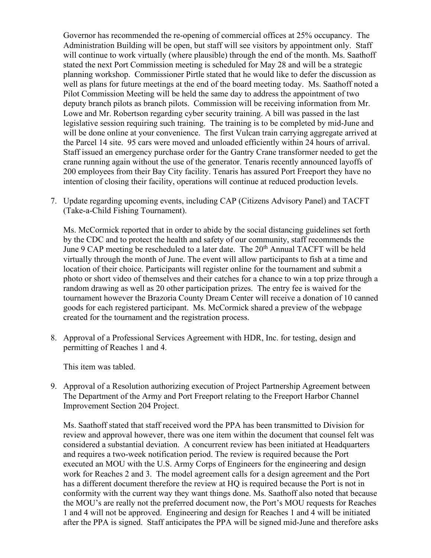Governor has recommended the re-opening of commercial offices at 25% occupancy. The Administration Building will be open, but staff will see visitors by appointment only. Staff will continue to work virtually (where plausible) through the end of the month. Ms. Saathoff stated the next Port Commission meeting is scheduled for May 28 and will be a strategic planning workshop. Commissioner Pirtle stated that he would like to defer the discussion as well as plans for future meetings at the end of the board meeting today. Ms. Saathoff noted a Pilot Commission Meeting will be held the same day to address the appointment of two deputy branch pilots as branch pilots. Commission will be receiving information from Mr. Lowe and Mr. Robertson regarding cyber security training. A bill was passed in the last legislative session requiring such training. The training is to be completed by mid-June and will be done online at your convenience. The first Vulcan train carrying aggregate arrived at the Parcel 14 site. 95 cars were moved and unloaded efficiently within 24 hours of arrival. Staff issued an emergency purchase order for the Gantry Crane transformer needed to get the crane running again without the use of the generator. Tenaris recently announced layoffs of 200 employees from their Bay City facility. Tenaris has assured Port Freeport they have no intention of closing their facility, operations will continue at reduced production levels.

7. Update regarding upcoming events, including CAP (Citizens Advisory Panel) and TACFT (Take-a-Child Fishing Tournament).

Ms. McCormick reported that in order to abide by the social distancing guidelines set forth by the CDC and to protect the health and safety of our community, staff recommends the June 9 CAP meeting be rescheduled to a later date. The  $20<sup>th</sup>$  Annual TACFT will be held virtually through the month of June. The event will allow participants to fish at a time and location of their choice. Participants will register online for the tournament and submit a photo or short video of themselves and their catches for a chance to win a top prize through a random drawing as well as 20 other participation prizes. The entry fee is waived for the tournament however the Brazoria County Dream Center will receive a donation of 10 canned goods for each registered participant. Ms. McCormick shared a preview of the webpage created for the tournament and the registration process.

8. Approval of a Professional Services Agreement with HDR, Inc. for testing, design and permitting of Reaches 1 and 4.

This item was tabled.

9. Approval of a Resolution authorizing execution of Project Partnership Agreement between The Department of the Army and Port Freeport relating to the Freeport Harbor Channel Improvement Section 204 Project.

Ms. Saathoff stated that staff received word the PPA has been transmitted to Division for review and approval however, there was one item within the document that counsel felt was considered a substantial deviation. A concurrent review has been initiated at Headquarters and requires a two-week notification period. The review is required because the Port executed an MOU with the U.S. Army Corps of Engineers for the engineering and design work for Reaches 2 and 3. The model agreement calls for a design agreement and the Port has a different document therefore the review at HQ is required because the Port is not in conformity with the current way they want things done. Ms. Saathoff also noted that because the MOU's are really not the preferred document now, the Port's MOU requests for Reaches 1 and 4 will not be approved. Engineering and design for Reaches 1 and 4 will be initiated after the PPA is signed. Staff anticipates the PPA will be signed mid-June and therefore asks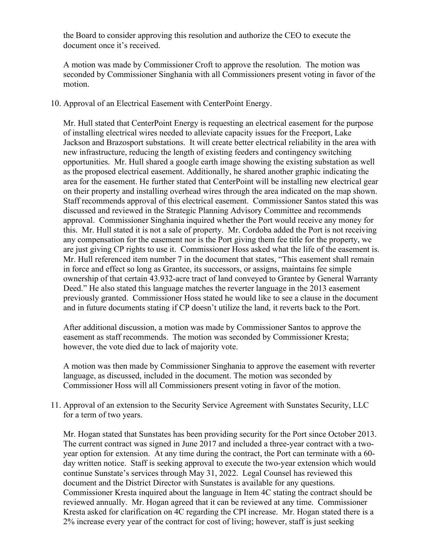the Board to consider approving this resolution and authorize the CEO to execute the document once it's received.

A motion was made by Commissioner Croft to approve the resolution. The motion was seconded by Commissioner Singhania with all Commissioners present voting in favor of the motion.

### 10. Approval of an Electrical Easement with CenterPoint Energy.

Mr. Hull stated that CenterPoint Energy is requesting an electrical easement for the purpose of installing electrical wires needed to alleviate capacity issues for the Freeport, Lake Jackson and Brazosport substations. It will create better electrical reliability in the area with new infrastructure, reducing the length of existing feeders and contingency switching opportunities. Mr. Hull shared a google earth image showing the existing substation as well as the proposed electrical easement. Additionally, he shared another graphic indicating the area for the easement. He further stated that CenterPoint will be installing new electrical gear on their property and installing overhead wires through the area indicated on the map shown. Staff recommends approval of this electrical easement. Commissioner Santos stated this was discussed and reviewed in the Strategic Planning Advisory Committee and recommends approval. Commissioner Singhania inquired whether the Port would receive any money for this. Mr. Hull stated it is not a sale of property. Mr. Cordoba added the Port is not receiving any compensation for the easement nor is the Port giving them fee title for the property, we are just giving CP rights to use it. Commissioner Hoss asked what the life of the easement is. Mr. Hull referenced item number 7 in the document that states, "This easement shall remain in force and effect so long as Grantee, its successors, or assigns, maintains fee simple ownership of that certain 43.932-acre tract of land conveyed to Grantee by General Warranty Deed." He also stated this language matches the reverter language in the 2013 easement previously granted. Commissioner Hoss stated he would like to see a clause in the document and in future documents stating if CP doesn't utilize the land, it reverts back to the Port.

After additional discussion, a motion was made by Commissioner Santos to approve the easement as staff recommends. The motion was seconded by Commissioner Kresta; however, the vote died due to lack of majority vote.

A motion was then made by Commissioner Singhania to approve the easement with reverter language, as discussed, included in the document. The motion was seconded by Commissioner Hoss will all Commissioners present voting in favor of the motion.

11. Approval of an extension to the Security Service Agreement with Sunstates Security, LLC for a term of two years.

Mr. Hogan stated that Sunstates has been providing security for the Port since October 2013. The current contract was signed in June 2017 and included a three-year contract with a twoyear option for extension. At any time during the contract, the Port can terminate with a 60 day written notice. Staff is seeking approval to execute the two-year extension which would continue Sunstate's services through May 31, 2022. Legal Counsel has reviewed this document and the District Director with Sunstates is available for any questions. Commissioner Kresta inquired about the language in Item 4C stating the contract should be reviewed annually. Mr. Hogan agreed that it can be reviewed at any time. Commissioner Kresta asked for clarification on 4C regarding the CPI increase. Mr. Hogan stated there is a 2% increase every year of the contract for cost of living; however, staff is just seeking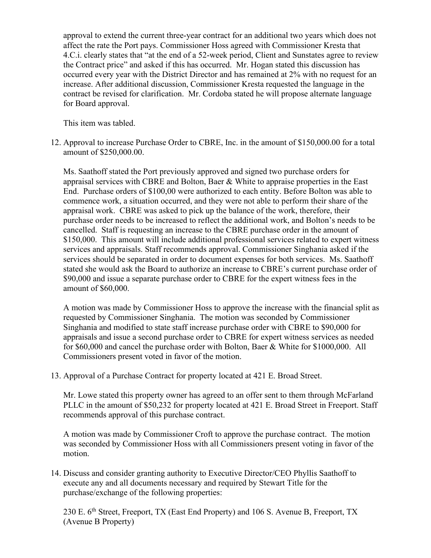approval to extend the current three-year contract for an additional two years which does not affect the rate the Port pays. Commissioner Hoss agreed with Commissioner Kresta that 4.C.i. clearly states that "at the end of a 52-week period, Client and Sunstates agree to review the Contract price" and asked if this has occurred. Mr. Hogan stated this discussion has occurred every year with the District Director and has remained at 2% with no request for an increase. After additional discussion, Commissioner Kresta requested the language in the contract be revised for clarification. Mr. Cordoba stated he will propose alternate language for Board approval.

This item was tabled.

12. Approval to increase Purchase Order to CBRE, Inc. in the amount of \$150,000.00 for a total amount of \$250,000.00.

Ms. Saathoff stated the Port previously approved and signed two purchase orders for appraisal services with CBRE and Bolton, Baer & White to appraise properties in the East End. Purchase orders of \$100,00 were authorized to each entity. Before Bolton was able to commence work, a situation occurred, and they were not able to perform their share of the appraisal work. CBRE was asked to pick up the balance of the work, therefore, their purchase order needs to be increased to reflect the additional work, and Bolton's needs to be cancelled. Staff is requesting an increase to the CBRE purchase order in the amount of \$150,000. This amount will include additional professional services related to expert witness services and appraisals. Staff recommends approval. Commissioner Singhania asked if the services should be separated in order to document expenses for both services. Ms. Saathoff stated she would ask the Board to authorize an increase to CBRE's current purchase order of \$90,000 and issue a separate purchase order to CBRE for the expert witness fees in the amount of \$60,000.

A motion was made by Commissioner Hoss to approve the increase with the financial split as requested by Commissioner Singhania. The motion was seconded by Commissioner Singhania and modified to state staff increase purchase order with CBRE to \$90,000 for appraisals and issue a second purchase order to CBRE for expert witness services as needed for \$60,000 and cancel the purchase order with Bolton, Baer & White for \$1000,000. All Commissioners present voted in favor of the motion.

13. Approval of a Purchase Contract for property located at 421 E. Broad Street.

Mr. Lowe stated this property owner has agreed to an offer sent to them through McFarland PLLC in the amount of \$50,232 for property located at 421 E. Broad Street in Freeport. Staff recommends approval of this purchase contract.

A motion was made by Commissioner Croft to approve the purchase contract. The motion was seconded by Commissioner Hoss with all Commissioners present voting in favor of the motion.

14. Discuss and consider granting authority to Executive Director/CEO Phyllis Saathoff to execute any and all documents necessary and required by Stewart Title for the purchase/exchange of the following properties:

230 E. 6<sup>th</sup> Street, Freeport, TX (East End Property) and 106 S. Avenue B, Freeport, TX (Avenue B Property)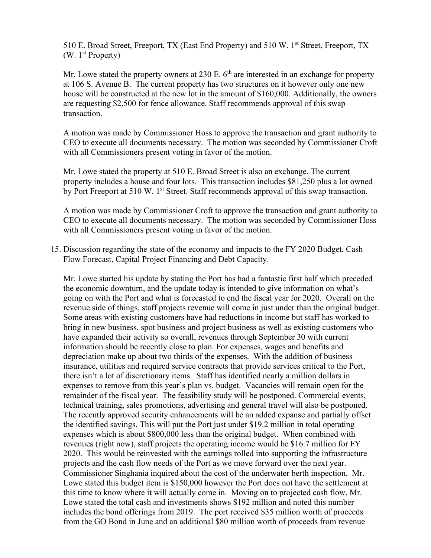510 E. Broad Street, Freeport, TX (East End Property) and 510 W. 1<sup>st</sup> Street, Freeport, TX  $(W. 1<sup>st</sup> Property)$ 

Mr. Lowe stated the property owners at 230 E.  $6<sup>th</sup>$  are interested in an exchange for property at 106 S. Avenue B. The current property has two structures on it however only one new house will be constructed at the new lot in the amount of \$160,000. Additionally, the owners are requesting \$2,500 for fence allowance. Staff recommends approval of this swap transaction.

A motion was made by Commissioner Hoss to approve the transaction and grant authority to CEO to execute all documents necessary. The motion was seconded by Commissioner Croft with all Commissioners present voting in favor of the motion.

Mr. Lowe stated the property at 510 E. Broad Street is also an exchange. The current property includes a house and four lots. This transaction includes \$81,250 plus a lot owned by Port Freeport at 510 W. 1<sup>st</sup> Street. Staff recommends approval of this swap transaction.

A motion was made by Commissioner Croft to approve the transaction and grant authority to CEO to execute all documents necessary. The motion was seconded by Commissioner Hoss with all Commissioners present voting in favor of the motion.

15. Discussion regarding the state of the economy and impacts to the FY 2020 Budget, Cash Flow Forecast, Capital Project Financing and Debt Capacity.

Mr. Lowe started his update by stating the Port has had a fantastic first half which preceded the economic downturn, and the update today is intended to give information on what's going on with the Port and what is forecasted to end the fiscal year for 2020. Overall on the revenue side of things, staff projects revenue will come in just under than the original budget. Some areas with existing customers have had reductions in income but staff has worked to bring in new business, spot business and project business as well as existing customers who have expanded their activity so overall, revenues through September 30 with current information should be recently close to plan. For expenses, wages and benefits and depreciation make up about two thirds of the expenses. With the addition of business insurance, utilities and required service contracts that provide services critical to the Port, there isn't a lot of discretionary items. Staff has identified nearly a million dollars in expenses to remove from this year's plan vs. budget. Vacancies will remain open for the remainder of the fiscal year. The feasibility study will be postponed. Commercial events, technical training, sales promotions, advertising and general travel will also be postponed. The recently approved security enhancements will be an added expanse and partially offset the identified savings. This will put the Port just under \$19.2 million in total operating expenses which is about \$800,000 less than the original budget. When combined with revenues (right now), staff projects the operating income would be \$16.7 million for FY 2020. This would be reinvested with the earnings rolled into supporting the infrastructure projects and the cash flow needs of the Port as we move forward over the next year. Commissioner Singhania inquired about the cost of the underwater berth inspection. Mr. Lowe stated this budget item is \$150,000 however the Port does not have the settlement at this time to know where it will actually come in. Moving on to projected cash flow, Mr. Lowe stated the total cash and investments shows \$192 million and noted this number includes the bond offerings from 2019. The port received \$35 million worth of proceeds from the GO Bond in June and an additional \$80 million worth of proceeds from revenue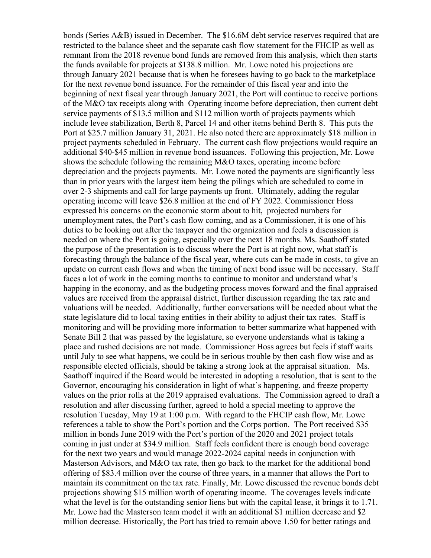bonds (Series A&B) issued in December. The \$16.6M debt service reserves required that are restricted to the balance sheet and the separate cash flow statement for the FHCIP as well as remnant from the 2018 revenue bond funds are removed from this analysis, which then starts the funds available for projects at \$138.8 million. Mr. Lowe noted his projections are through January 2021 because that is when he foresees having to go back to the marketplace for the next revenue bond issuance. For the remainder of this fiscal year and into the beginning of next fiscal year through January 2021, the Port will continue to receive portions of the M&O tax receipts along with Operating income before depreciation, then current debt service payments of \$13.5 million and \$112 million worth of projects payments which include levee stabilization, Berth 8, Parcel 14 and other items behind Berth 8. This puts the Port at \$25.7 million January 31, 2021. He also noted there are approximately \$18 million in project payments scheduled in February. The current cash flow projections would require an additional \$40-\$45 million in revenue bond issuances. Following this projection, Mr. Lowe shows the schedule following the remaining M&O taxes, operating income before depreciation and the projects payments. Mr. Lowe noted the payments are significantly less than in prior years with the largest item being the pilings which are scheduled to come in over 2-3 shipments and call for large payments up front. Ultimately, adding the regular operating income will leave \$26.8 million at the end of FY 2022. Commissioner Hoss expressed his concerns on the economic storm about to hit, projected numbers for unemployment rates, the Port's cash flow coming, and as a Commissioner, it is one of his duties to be looking out after the taxpayer and the organization and feels a discussion is needed on where the Port is going, especially over the next 18 months. Ms. Saathoff stated the purpose of the presentation is to discuss where the Port is at right now, what staff is forecasting through the balance of the fiscal year, where cuts can be made in costs, to give an update on current cash flows and when the timing of next bond issue will be necessary. Staff faces a lot of work in the coming months to continue to monitor and understand what's happing in the economy, and as the budgeting process moves forward and the final appraised values are received from the appraisal district, further discussion regarding the tax rate and valuations will be needed. Additionally, further conversations will be needed about what the state legislature did to local taxing entities in their ability to adjust their tax rates. Staff is monitoring and will be providing more information to better summarize what happened with Senate Bill 2 that was passed by the legislature, so everyone understands what is taking a place and rushed decisions are not made. Commissioner Hoss agrees but feels if staff waits until July to see what happens, we could be in serious trouble by then cash flow wise and as responsible elected officials, should be taking a strong look at the appraisal situation. Ms. Saathoff inquired if the Board would be interested in adopting a resolution, that is sent to the Governor, encouraging his consideration in light of what's happening, and freeze property values on the prior rolls at the 2019 appraised evaluations. The Commission agreed to draft a resolution and after discussing further, agreed to hold a special meeting to approve the resolution Tuesday, May 19 at 1:00 p.m. With regard to the FHCIP cash flow, Mr. Lowe references a table to show the Port's portion and the Corps portion. The Port received \$35 million in bonds June 2019 with the Port's portion of the 2020 and 2021 project totals coming in just under at \$34.9 million. Staff feels confident there is enough bond coverage for the next two years and would manage 2022-2024 capital needs in conjunction with Masterson Advisors, and M&O tax rate, then go back to the market for the additional bond offering of \$83.4 million over the course of three years, in a manner that allows the Port to maintain its commitment on the tax rate. Finally, Mr. Lowe discussed the revenue bonds debt projections showing \$15 million worth of operating income. The coverages levels indicate what the level is for the outstanding senior liens but with the capital lease, it brings it to 1.71. Mr. Lowe had the Masterson team model it with an additional \$1 million decrease and \$2 million decrease. Historically, the Port has tried to remain above 1.50 for better ratings and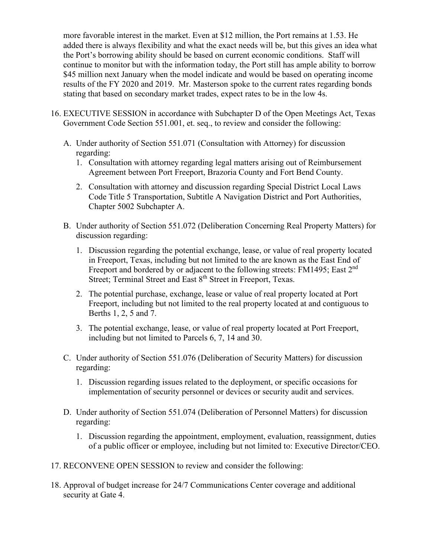more favorable interest in the market. Even at \$12 million, the Port remains at 1.53. He added there is always flexibility and what the exact needs will be, but this gives an idea what the Port's borrowing ability should be based on current economic conditions. Staff will continue to monitor but with the information today, the Port still has ample ability to borrow \$45 million next January when the model indicate and would be based on operating income results of the FY 2020 and 2019. Mr. Masterson spoke to the current rates regarding bonds stating that based on secondary market trades, expect rates to be in the low 4s.

- 16. EXECUTIVE SESSION in accordance with Subchapter D of the Open Meetings Act, Texas Government Code Section 551.001, et. seq., to review and consider the following:
	- A. Under authority of Section 551.071 (Consultation with Attorney) for discussion regarding:
		- 1. Consultation with attorney regarding legal matters arising out of Reimbursement Agreement between Port Freeport, Brazoria County and Fort Bend County.
		- 2. Consultation with attorney and discussion regarding Special District Local Laws Code Title 5 Transportation, Subtitle A Navigation District and Port Authorities, Chapter 5002 Subchapter A.
	- B. Under authority of Section 551.072 (Deliberation Concerning Real Property Matters) for discussion regarding:
		- 1. Discussion regarding the potential exchange, lease, or value of real property located in Freeport, Texas, including but not limited to the are known as the East End of Freeport and bordered by or adjacent to the following streets: FM1495; East 2<sup>nd</sup> Street; Terminal Street and East 8<sup>th</sup> Street in Freeport, Texas.
		- 2. The potential purchase, exchange, lease or value of real property located at Port Freeport, including but not limited to the real property located at and contiguous to Berths 1, 2, 5 and 7.
		- 3. The potential exchange, lease, or value of real property located at Port Freeport, including but not limited to Parcels 6, 7, 14 and 30.
	- C. Under authority of Section 551.076 (Deliberation of Security Matters) for discussion regarding:
		- 1. Discussion regarding issues related to the deployment, or specific occasions for implementation of security personnel or devices or security audit and services.
	- D. Under authority of Section 551.074 (Deliberation of Personnel Matters) for discussion regarding:
		- 1. Discussion regarding the appointment, employment, evaluation, reassignment, duties of a public officer or employee, including but not limited to: Executive Director/CEO.
- 17. RECONVENE OPEN SESSION to review and consider the following:
- 18. Approval of budget increase for 24/7 Communications Center coverage and additional security at Gate 4.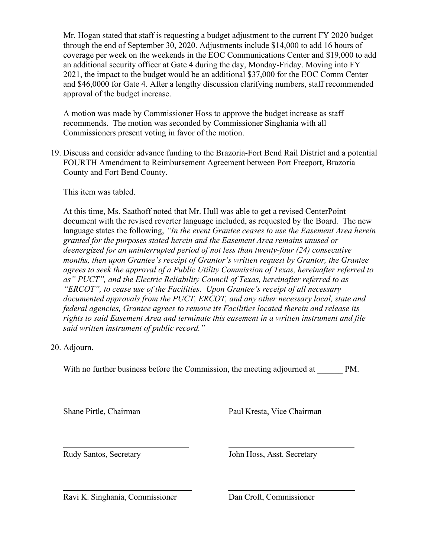Mr. Hogan stated that staff is requesting a budget adjustment to the current FY 2020 budget through the end of September 30, 2020. Adjustments include \$14,000 to add 16 hours of coverage per week on the weekends in the EOC Communications Center and \$19,000 to add an additional security officer at Gate 4 during the day, Monday-Friday. Moving into FY 2021, the impact to the budget would be an additional \$37,000 for the EOC Comm Center and \$46,0000 for Gate 4. After a lengthy discussion clarifying numbers, staff recommended approval of the budget increase.

A motion was made by Commissioner Hoss to approve the budget increase as staff recommends. The motion was seconded by Commissioner Singhania with all Commissioners present voting in favor of the motion.

19. Discuss and consider advance funding to the Brazoria-Fort Bend Rail District and a potential FOURTH Amendment to Reimbursement Agreement between Port Freeport, Brazoria County and Fort Bend County.

This item was tabled.

At this time, Ms. Saathoff noted that Mr. Hull was able to get a revised CenterPoint document with the revised reverter language included, as requested by the Board. The new language states the following, *"In the event Grantee ceases to use the Easement Area herein granted for the purposes stated herein and the Easement Area remains unused or deenergized for an uninterrupted period of not less than twenty-four (24) consecutive months, then upon Grantee's receipt of Grantor's written request by Grantor, the Grantee agrees to seek the approval of a Public Utility Commission of Texas, hereinafter referred to as" PUCT", and the Electric Reliability Council of Texas, hereinafter referred to as "ERCOT", to cease use of the Facilities. Upon Grantee's receipt of all necessary documented approvals from the PUCT, ERCOT, and any other necessary local, state and federal agencies, Grantee agrees to remove its Facilities located therein and release its rights to said Easement Area and terminate this easement in a written instrument and file said written instrument of public record."*

20. Adjourn.

 $\overline{a}$ 

With no further business before the Commission, the meeting adjourned at \_\_\_\_\_\_ PM.

Shane Pirtle, Chairman Paul Kresta, Vice Chairman

 $\overline{a}$ 

Rudy Santos, Secretary John Hoss, Asst. Secretary

Ravi K. Singhania, Commissioner Dan Croft, Commissioner

 $\overline{a}$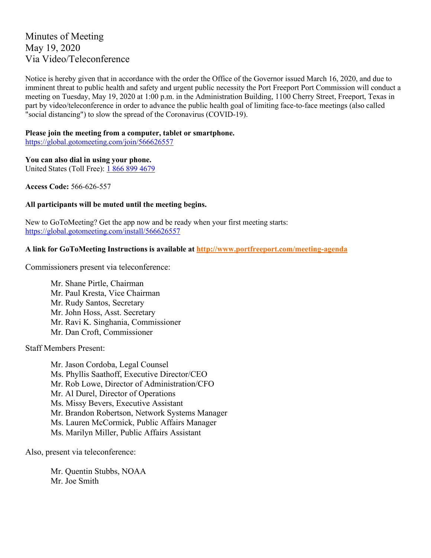# Minutes of Meeting May 19, 2020 Via Video/Teleconference

Notice is hereby given that in accordance with the order the Office of the Governor issued March 16, 2020, and due to imminent threat to public health and safety and urgent public necessity the Port Freeport Port Commission will conduct a meeting on Tuesday, May 19, 2020 at 1:00 p.m. in the Administration Building, 1100 Cherry Street, Freeport, Texas in part by video/teleconference in order to advance the public health goal of limiting face-to-face meetings (also called "social distancing") to slow the spread of the Coronavirus (COVID-19).

### **Please join the meeting from a computer, tablet or smartphone.**

<https://global.gotomeeting.com/join/566626557>

### **You can also dial in using your phone.**

United States (Toll Free): [1 866 899 4679](tel:+18668994679,,566626557)

**Access Code:** 566-626-557

### **All participants will be muted until the meeting begins.**

New to GoToMeeting? Get the app now and be ready when your first meeting starts: <https://global.gotomeeting.com/install/566626557>

### **A link for GoToMeeting Instructions is available at<http://www.portfreeport.com/meeting-agenda>**

Commissioners present via teleconference:

Mr. Shane Pirtle, Chairman Mr. Paul Kresta, Vice Chairman Mr. Rudy Santos, Secretary Mr. John Hoss, Asst. Secretary Mr. Ravi K. Singhania, Commissioner Mr. Dan Croft, Commissioner

Staff Members Present:

Mr. Jason Cordoba, Legal Counsel Ms. Phyllis Saathoff, Executive Director/CEO Mr. Rob Lowe, Director of Administration/CFO Mr. Al Durel, Director of Operations Ms. Missy Bevers, Executive Assistant Mr. Brandon Robertson, Network Systems Manager Ms. Lauren McCormick, Public Affairs Manager Ms. Marilyn Miller, Public Affairs Assistant

Also, present via teleconference:

Mr. Quentin Stubbs, NOAA Mr. Joe Smith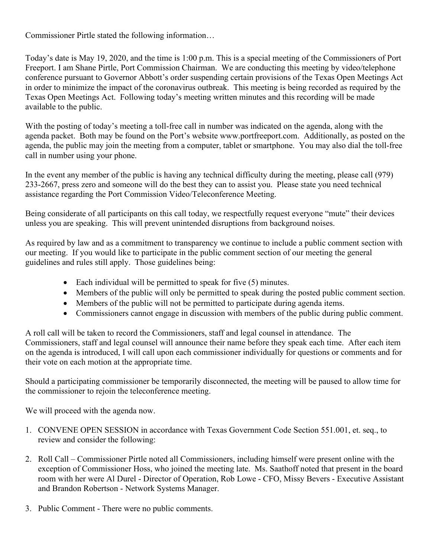Commissioner Pirtle stated the following information…

Today's date is May 19, 2020, and the time is 1:00 p.m. This is a special meeting of the Commissioners of Port Freeport. I am Shane Pirtle, Port Commission Chairman. We are conducting this meeting by video/telephone conference pursuant to Governor Abbott's order suspending certain provisions of the Texas Open Meetings Act in order to minimize the impact of the coronavirus outbreak. This meeting is being recorded as required by the Texas Open Meetings Act. Following today's meeting written minutes and this recording will be made available to the public.

With the posting of today's meeting a toll-free call in number was indicated on the agenda, along with the agenda packet. Both may be found on the Port's website [www.portfreeport.com.](http://www.portfreeport.com/) Additionally, as posted on the agenda, the public may join the meeting from a computer, tablet or smartphone. You may also dial the toll-free call in number using your phone.

In the event any member of the public is having any technical difficulty during the meeting, please call (979) 233-2667, press zero and someone will do the best they can to assist you. Please state you need technical assistance regarding the Port Commission Video/Teleconference Meeting.

Being considerate of all participants on this call today, we respectfully request everyone "mute" their devices unless you are speaking. This will prevent unintended disruptions from background noises.

As required by law and as a commitment to transparency we continue to include a public comment section with our meeting. If you would like to participate in the public comment section of our meeting the general guidelines and rules still apply. Those guidelines being:

- Each individual will be permitted to speak for five (5) minutes.
- Members of the public will only be permitted to speak during the posted public comment section.
- Members of the public will not be permitted to participate during agenda items.
- Commissioners cannot engage in discussion with members of the public during public comment.

A roll call will be taken to record the Commissioners, staff and legal counsel in attendance. The Commissioners, staff and legal counsel will announce their name before they speak each time. After each item on the agenda is introduced, I will call upon each commissioner individually for questions or comments and for their vote on each motion at the appropriate time.

Should a participating commissioner be temporarily disconnected, the meeting will be paused to allow time for the commissioner to rejoin the teleconference meeting.

We will proceed with the agenda now.

- 1. CONVENE OPEN SESSION in accordance with Texas Government Code Section 551.001, et. seq., to review and consider the following:
- 2. Roll Call Commissioner Pirtle noted all Commissioners, including himself were present online with the exception of Commissioner Hoss, who joined the meeting late. Ms. Saathoff noted that present in the board room with her were Al Durel - Director of Operation, Rob Lowe - CFO, Missy Bevers - Executive Assistant and Brandon Robertson - Network Systems Manager.
- 3. Public Comment There were no public comments.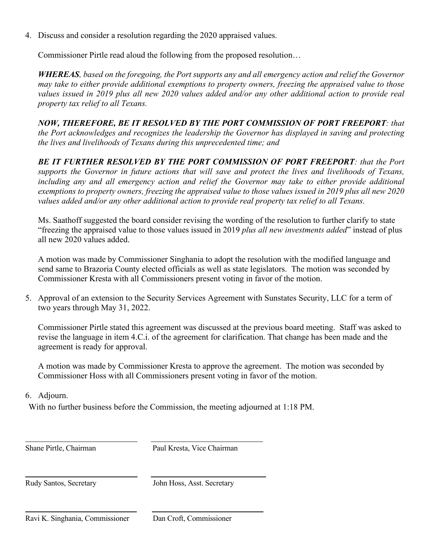4. Discuss and consider a resolution regarding the 2020 appraised values.

Commissioner Pirtle read aloud the following from the proposed resolution…

*WHEREAS, based on the foregoing, the Port supports any and all emergency action and relief the Governor may take to either provide additional exemptions to property owners, freezing the appraised value to those values issued in 2019 plus all new 2020 values added and/or any other additional action to provide real property tax relief to all Texans.* 

*NOW, THEREFORE, BE IT RESOLVED BY THE PORT COMMISSION OF PORT FREEPORT: that the Port acknowledges and recognizes the leadership the Governor has displayed in saving and protecting the lives and livelihoods of Texans during this unprecedented time; and* 

*BE IT FURTHER RESOLVED BY THE PORT COMMISSION OF PORT FREEPORT: that the Port supports the Governor in future actions that will save and protect the lives and livelihoods of Texans, including any and all emergency action and relief the Governor may take to either provide additional exemptions to property owners, freezing the appraised value to those values issued in 2019 plus all new 2020 values added and/or any other additional action to provide real property tax relief to all Texans.*

Ms. Saathoff suggested the board consider revising the wording of the resolution to further clarify to state "freezing the appraised value to those values issued in 2019 *plus all new investments added*" instead of plus all new 2020 values added.

A motion was made by Commissioner Singhania to adopt the resolution with the modified language and send same to Brazoria County elected officials as well as state legislators. The motion was seconded by Commissioner Kresta with all Commissioners present voting in favor of the motion.

5. Approval of an extension to the Security Services Agreement with Sunstates Security, LLC for a term of two years through May 31, 2022.

Commissioner Pirtle stated this agreement was discussed at the previous board meeting. Staff was asked to revise the language in item 4.C.i. of the agreement for clarification. That change has been made and the agreement is ready for approval.

A motion was made by Commissioner Kresta to approve the agreement. The motion was seconded by Commissioner Hoss with all Commissioners present voting in favor of the motion.

6. Adjourn.

With no further business before the Commission, the meeting adjourned at 1:18 PM.

Shane Pirtle, Chairman Paul Kresta, Vice Chairman

Rudy Santos, Secretary John Hoss, Asst. Secretary

L Ravi K. Singhania, Commissioner Dan Croft, Commissioner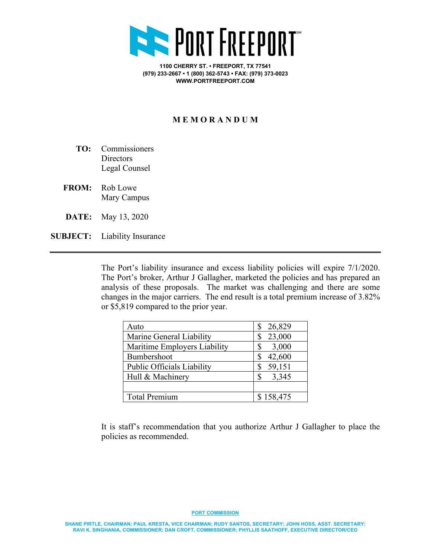

**1100 CHERRY ST. • FREEPORT, TX 77541 (979) 233-2667 • 1 (800) 362-5743 • FAX: (979) 373-0023 WWW.PORTFREEPORT.COM**

## **M E M O R A N D U M**

- **TO:** Commissioners **Directors** Legal Counsel
- **FROM:** Rob Lowe Mary Campus
- **DATE:** May 13, 2020
- **SUBJECT:** Liability Insurance

The Port's liability insurance and excess liability policies will expire 7/1/2020. The Port's broker, Arthur J Gallagher, marketed the policies and has prepared an analysis of these proposals. The market was challenging and there are some changes in the major carriers. The end result is a total premium increase of 3.82% or \$5,819 compared to the prior year.

| Auto                              | 26,829                |
|-----------------------------------|-----------------------|
| Marine General Liability          | 23,000                |
| Maritime Employers Liability      | 3,000                 |
| Bumbershoot                       | 42,600                |
| <b>Public Officials Liability</b> | 59,151                |
| Hull & Machinery                  | 3,345<br>$\mathbb{S}$ |
|                                   |                       |
| <b>Total Premium</b>              | \$158,475             |

It is staff's recommendation that you authorize Arthur J Gallagher to place the policies as recommended.

#### **PORT COMMISSION**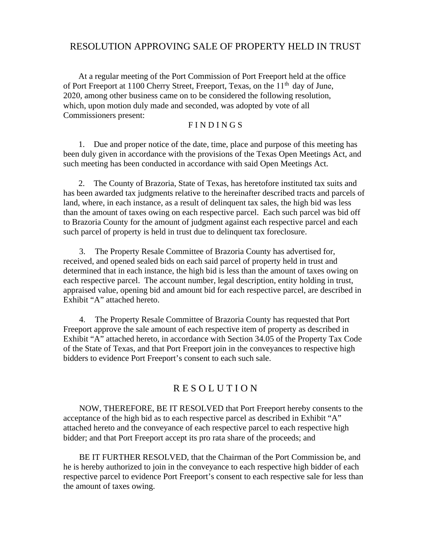# RESOLUTION APPROVING SALE OF PROPERTY HELD IN TRUST

At a regular meeting of the Port Commission of Port Freeport held at the office of Port Freeport at 1100 Cherry Street, Freeport, Texas, on the 11<sup>th</sup> day of June, 2020, among other business came on to be considered the following resolution, which, upon motion duly made and seconded, was adopted by vote of all Commissioners present:

### F I N D I N G S

1. Due and proper notice of the date, time, place and purpose of this meeting has been duly given in accordance with the provisions of the Texas Open Meetings Act, and such meeting has been conducted in accordance with said Open Meetings Act.

2. The County of Brazoria, State of Texas, has heretofore instituted tax suits and has been awarded tax judgments relative to the hereinafter described tracts and parcels of land, where, in each instance, as a result of delinquent tax sales, the high bid was less than the amount of taxes owing on each respective parcel. Each such parcel was bid off to Brazoria County for the amount of judgment against each respective parcel and each such parcel of property is held in trust due to delinquent tax foreclosure.

3. The Property Resale Committee of Brazoria County has advertised for, received, and opened sealed bids on each said parcel of property held in trust and determined that in each instance, the high bid is less than the amount of taxes owing on each respective parcel. The account number, legal description, entity holding in trust, appraised value, opening bid and amount bid for each respective parcel, are described in Exhibit "A" attached hereto.

4. The Property Resale Committee of Brazoria County has requested that Port Freeport approve the sale amount of each respective item of property as described in Exhibit "A" attached hereto, in accordance with Section 34.05 of the Property Tax Code of the State of Texas, and that Port Freeport join in the conveyances to respective high bidders to evidence Port Freeport's consent to each such sale.

# R E S O L U T I O N

NOW, THEREFORE, BE IT RESOLVED that Port Freeport hereby consents to the acceptance of the high bid as to each respective parcel as described in Exhibit "A" attached hereto and the conveyance of each respective parcel to each respective high bidder; and that Port Freeport accept its pro rata share of the proceeds; and

 BE IT FURTHER RESOLVED, that the Chairman of the Port Commission be, and he is hereby authorized to join in the conveyance to each respective high bidder of each respective parcel to evidence Port Freeport's consent to each respective sale for less than the amount of taxes owing.